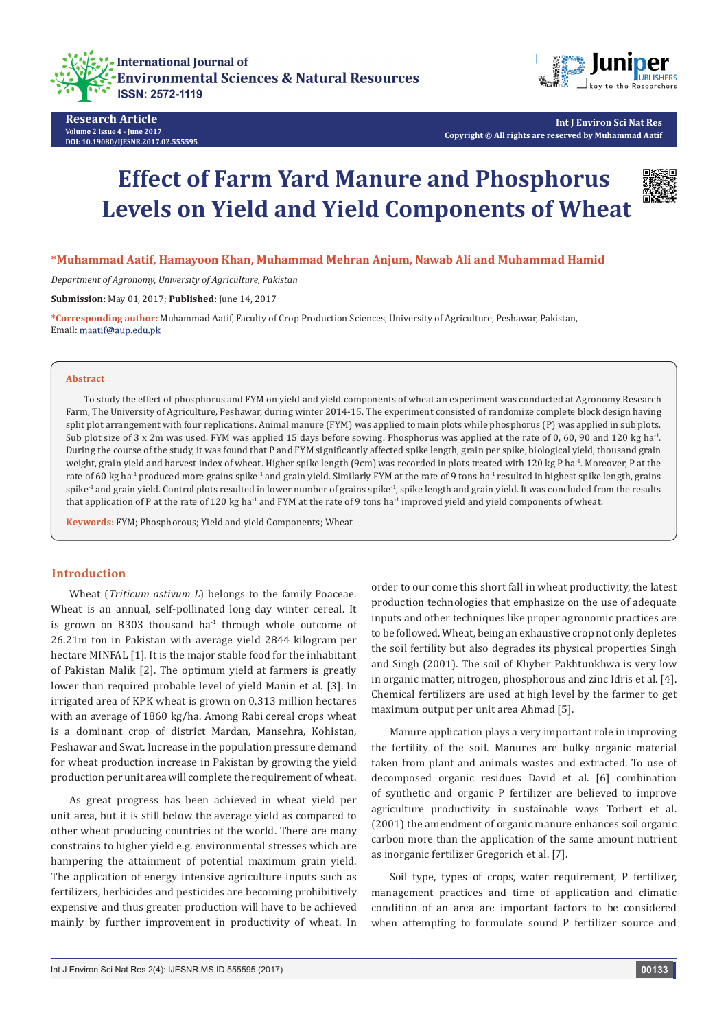



**Research Article Volume 2 Issue 4 - June 2017 DOI: [10.19080/IJESNR.2017.02.555595](http://dx.doi.org/10.19080/IJESNR.2017.02.555595)**

**Int J Environ Sci Nat Res Copyright © All rights are reserved by Muhammad Aatif**

# **Effect of Farm Yard Manure and Phosphorus Levels on Yield and Yield Components of Wheat**



**\*Muhammad Aatif, Hamayoon Khan, Muhammad Mehran Anjum, Nawab Ali and Muhammad Hamid**

*Department of Agronomy, University of Agriculture, Pakistan*

**Submission:** May 01, 2017; **Published:** June 14, 2017

**\*Corresponding author:** Muhammad Aatif, Faculty of Crop Production Sciences, University of Agriculture, Peshawar, Pakistan, Email: maatif@aup.edu.pk

#### **Abstract**

To study the effect of phosphorus and FYM on yield and yield components of wheat an experiment was conducted at Agronomy Research Farm, The University of Agriculture, Peshawar, during winter 2014-15. The experiment consisted of randomize complete block design having split plot arrangement with four replications. Animal manure (FYM) was applied to main plots while phosphorus (P) was applied in sub plots. Sub plot size of 3 x 2m was used. FYM was applied 15 days before sowing. Phosphorus was applied at the rate of 0, 60, 90 and 120 kg ha<sup>-1</sup>. During the course of the study, it was found that P and FYM significantly affected spike length, grain per spike, biological yield, thousand grain weight, grain yield and harvest index of wheat. Higher spike length (9cm) was recorded in plots treated with 120 kg P ha<sup>-1</sup>. Moreover, P at the rate of 60 kg ha<sup>-1</sup> produced more grains spike<sup>-1</sup> and grain yield. Similarly FYM at the rate of 9 tons ha<sup>-1</sup> resulted in highest spike length, grains spike<sup>-1</sup> and grain yield. Control plots resulted in lower number of grains spike<sup>-1</sup>, spike length and grain yield. It was concluded from the results that application of P at the rate of 120 kg ha<sup>-1</sup> and FYM at the rate of 9 tons ha<sup>-1</sup> improved yield and yield components of wheat.

**Keywords:** FYM; Phosphorous; Yield and yield Components; Wheat

# **Introduction**

Wheat (*Triticum astivum L*) belongs to the family Poaceae. Wheat is an annual, self-pollinated long day winter cereal. It is grown on 8303 thousand  $ha<sup>-1</sup>$  through whole outcome of 26.21m ton in Pakistan with average yield 2844 kilogram per hectare MINFAL [1]. It is the major stable food for the inhabitant of Pakistan Malik [2]. The optimum yield at farmers is greatly lower than required probable level of yield Manin et al. [3]. In irrigated area of KPK wheat is grown on 0.313 million hectares with an average of 1860 kg/ha. Among Rabi cereal crops wheat is a dominant crop of district Mardan, Mansehra, Kohistan, Peshawar and Swat. Increase in the population pressure demand for wheat production increase in Pakistan by growing the yield production per unit area will complete the requirement of wheat.

As great progress has been achieved in wheat yield per unit area, but it is still below the average yield as compared to other wheat producing countries of the world. There are many constrains to higher yield e.g. environmental stresses which are hampering the attainment of potential maximum grain yield. The application of energy intensive agriculture inputs such as fertilizers, herbicides and pesticides are becoming prohibitively expensive and thus greater production will have to be achieved mainly by further improvement in productivity of wheat. In

order to our come this short fall in wheat productivity, the latest production technologies that emphasize on the use of adequate inputs and other techniques like proper agronomic practices are to be followed. Wheat, being an exhaustive crop not only depletes the soil fertility but also degrades its physical properties Singh and Singh (2001). The soil of Khyber Pakhtunkhwa is very low in organic matter, nitrogen, phosphorous and zinc Idris et al. [4]. Chemical fertilizers are used at high level by the farmer to get maximum output per unit area Ahmad [5].

Manure application plays a very important role in improving the fertility of the soil. Manures are bulky organic material taken from plant and animals wastes and extracted. To use of decomposed organic residues David et al. [6] combination of synthetic and organic P fertilizer are believed to improve agriculture productivity in sustainable ways Torbert et al. (2001) the amendment of organic manure enhances soil organic carbon more than the application of the same amount nutrient as inorganic fertilizer Gregorich et al. [7].

Soil type, types of crops, water requirement, P fertilizer, management practices and time of application and climatic condition of an area are important factors to be considered when attempting to formulate sound P fertilizer source and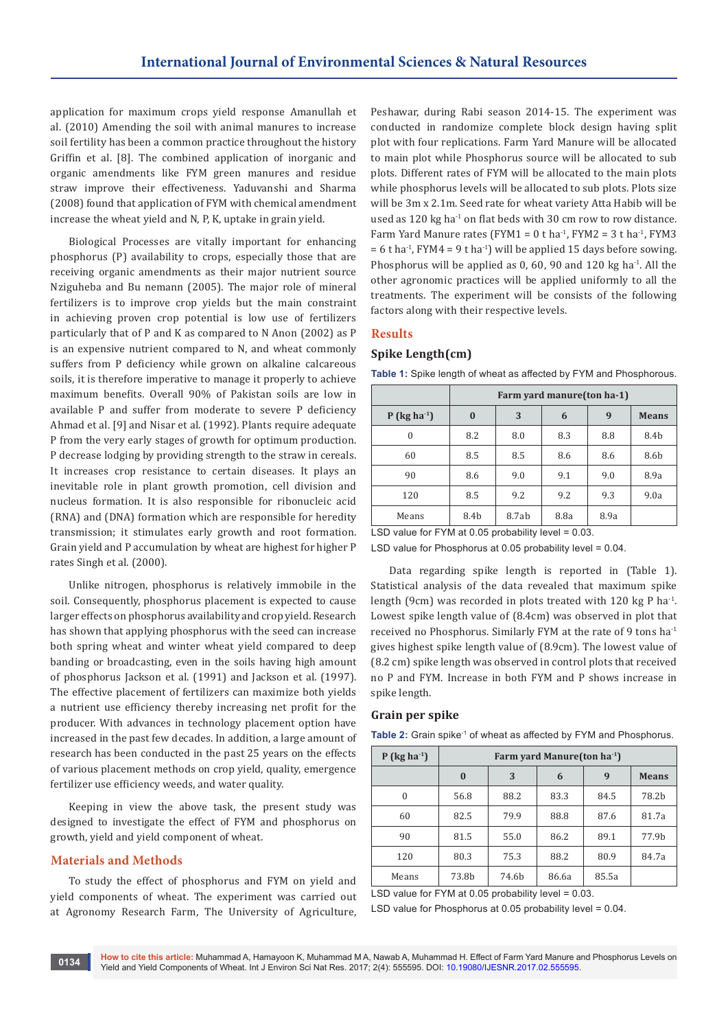application for maximum crops yield response Amanullah et al. (2010) Amending the soil with animal manures to increase soil fertility has been a common practice throughout the history Griffin et al. [8]. The combined application of inorganic and organic amendments like FYM green manures and residue straw improve their effectiveness. Yaduvanshi and Sharma (2008) found that application of FYM with chemical amendment increase the wheat yield and N, P, K, uptake in grain yield.

Biological Processes are vitally important for enhancing phosphorus (P) availability to crops, especially those that are receiving organic amendments as their major nutrient source Nziguheba and Bu nemann (2005). The major role of mineral fertilizers is to improve crop yields but the main constraint in achieving proven crop potential is low use of fertilizers particularly that of P and K as compared to N Anon (2002) as P is an expensive nutrient compared to N, and wheat commonly suffers from P deficiency while grown on alkaline calcareous soils, it is therefore imperative to manage it properly to achieve maximum benefits. Overall 90% of Pakistan soils are low in available P and suffer from moderate to severe P deficiency Ahmad et al. [9] and Nisar et al. (1992). Plants require adequate P from the very early stages of growth for optimum production. P decrease lodging by providing strength to the straw in cereals. It increases crop resistance to certain diseases. It plays an inevitable role in plant growth promotion, cell division and nucleus formation. It is also responsible for ribonucleic acid (RNA) and (DNA) formation which are responsible for heredity transmission; it stimulates early growth and root formation. Grain yield and P accumulation by wheat are highest for higher P rates Singh et al. (2000).

Unlike nitrogen, phosphorus is relatively immobile in the soil. Consequently, phosphorus placement is expected to cause larger effects on phosphorus availability and crop yield. Research has shown that applying phosphorus with the seed can increase both spring wheat and winter wheat yield compared to deep banding or broadcasting, even in the soils having high amount of phosphorus Jackson et al. (1991) and Jackson et al. (1997). The effective placement of fertilizers can maximize both yields a nutrient use efficiency thereby increasing net profit for the producer. With advances in technology placement option have increased in the past few decades. In addition, a large amount of research has been conducted in the past 25 years on the effects of various placement methods on crop yield, quality, emergence fertilizer use efficiency weeds, and water quality.

Keeping in view the above task, the present study was designed to investigate the effect of FYM and phosphorus on growth, yield and yield component of wheat.

## **Materials and Methods**

To study the effect of phosphorus and FYM on yield and yield components of wheat. The experiment was carried out at Agronomy Research Farm, The University of Agriculture, Peshawar, during Rabi season 2014-15. The experiment was conducted in randomize complete block design having split plot with four replications. Farm Yard Manure will be allocated to main plot while Phosphorus source will be allocated to sub plots. Different rates of FYM will be allocated to the main plots while phosphorus levels will be allocated to sub plots. Plots size will be 3m x 2.1m. Seed rate for wheat variety Atta Habib will be used as 120 kg ha<sup>-1</sup> on flat beds with 30 cm row to row distance. Farm Yard Manure rates (FYM1 =  $0$  t ha<sup>-1</sup>, FYM2 =  $3$  t ha<sup>-1</sup>, FYM3  $= 6$  t ha<sup>-1</sup>, FYM4 = 9 t ha<sup>-1</sup>) will be applied 15 days before sowing. Phosphorus will be applied as 0, 60, 90 and 120 kg ha<sup>-1</sup>. All the other agronomic practices will be applied uniformly to all the treatments. The experiment will be consists of the following factors along with their respective levels.

## **Results**

# **Spike Length(cm)**

|                            | Farm yard manure (ton ha-1) |       |      |      |              |  |
|----------------------------|-----------------------------|-------|------|------|--------------|--|
| $P$ (kg ha <sup>-1</sup> ) | $\bf{0}$                    | 3     | 6    | 9    | <b>Means</b> |  |
| $\Omega$                   | 8.2                         | 8.0   | 8.3  | 8.8  | 8.4b         |  |
| 60                         | 8.5                         | 8.5   | 8.6  | 8.6  | 8.6b         |  |
| 90                         | 8.6                         | 9.0   | 9.1  | 9.0  | 8.9a         |  |
| 120                        | 8.5                         | 9.2   | 9.2  | 9.3  | 9.0a         |  |
| Means                      | 8.4b                        | 8.7ab | 8.8a | 8.9a |              |  |

**Table 1:** Spike length of wheat as affected by FYM and Phosphorous.

LSD value for FYM at 0.05 probability level = 0.03.

LSD value for Phosphorus at 0.05 probability level = 0.04.

Data regarding spike length is reported in (Table 1). Statistical analysis of the data revealed that maximum spike length (9cm) was recorded in plots treated with 120 kg P ha<sup>-1</sup>. Lowest spike length value of (8.4cm) was observed in plot that received no Phosphorus. Similarly FYM at the rate of 9 tons ha-1 gives highest spike length value of (8.9cm). The lowest value of (8.2 cm) spike length was observed in control plots that received no P and FYM. Increase in both FYM and P shows increase in spike length.

## **Grain per spike**

Table 2: Grain spike<sup>-1</sup> of wheat as affected by FYM and Phosphorus.

| $P$ (kg ha <sup>-1</sup> ) | Farm yard Manure (ton $ha^{-1}$ ) |       |       |       |                   |  |
|----------------------------|-----------------------------------|-------|-------|-------|-------------------|--|
|                            | $\bf{0}$                          | 3     | 6     | 9     | <b>Means</b>      |  |
| $\Omega$                   | 56.8                              | 88.2  | 83.3  | 84.5  | 78.2b             |  |
| 60                         | 82.5                              | 79.9  | 88.8  | 87.6  | 81.7a             |  |
| 90                         | 81.5                              | 55.0  | 86.2  | 89.1  | 77.9 <sub>h</sub> |  |
| 120                        | 80.3                              | 75.3  | 88.2  | 80.9  | 84.7a             |  |
| Means                      | 73.8b                             | 74.6b | 86.6a | 85.5a |                   |  |

LSD value for FYM at 0.05 probability level =  $0.03$ .

LSD value for Phosphorus at 0.05 probability level = 0.04.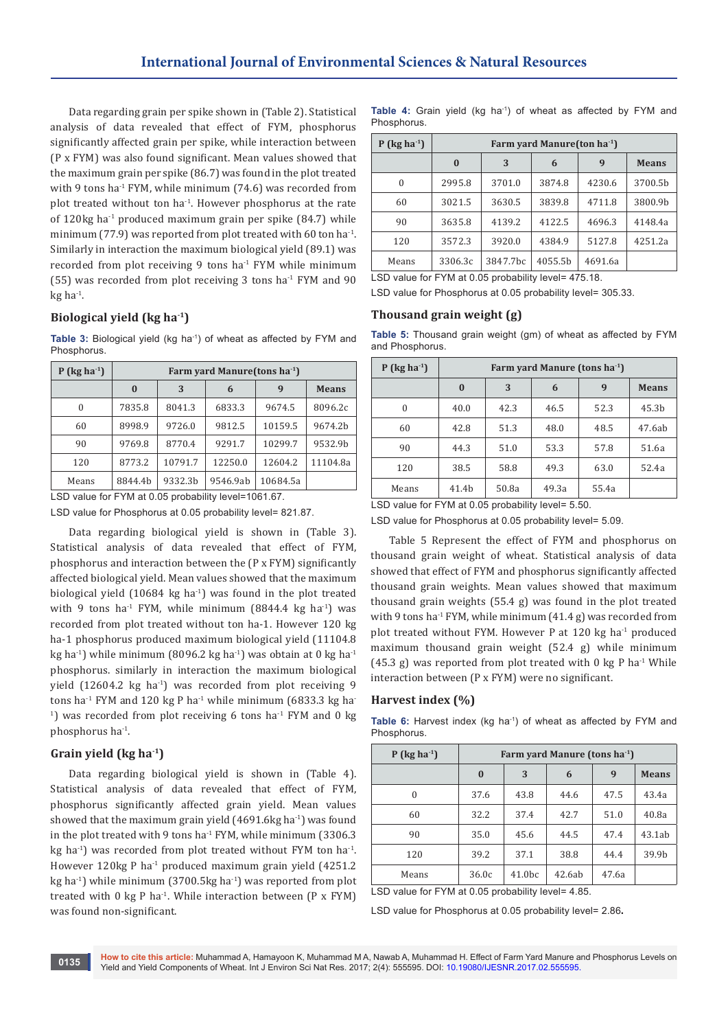Data regarding grain per spike shown in (Table 2). Statistical analysis of data revealed that effect of FYM, phosphorus significantly affected grain per spike, while interaction between (P x FYM) was also found significant. Mean values showed that the maximum grain per spike (86.7) was found in the plot treated with 9 tons ha<sup>-1</sup> FYM, while minimum (74.6) was recorded from plot treated without ton ha<sup>-1</sup>. However phosphorus at the rate of 120kg ha-1 produced maximum grain per spike (84.7) while minimum (77.9) was reported from plot treated with 60 ton ha<sup>-1</sup>. Similarly in interaction the maximum biological yield (89.1) was recorded from plot receiving 9 tons ha $<sup>1</sup>$  FYM while minimum</sup> (55) was recorded from plot receiving 3 tons ha<sup>-1</sup> FYM and 90  $kg$  ha $^{-1}$ .

# **Biological yield (kg ha-1)**

Table 3: Biological yield (kg ha<sup>-1</sup>) of wheat as affected by FYM and Phosphorus.

| $P$ (kg ha <sup>-1</sup> ) | Farm vard Manure (tons $ha^{-1}$ ) |         |          |          |              |  |
|----------------------------|------------------------------------|---------|----------|----------|--------------|--|
|                            | $\bf{0}$                           | 3       | 6        | 9        | <b>Means</b> |  |
| $\Omega$                   | 7835.8                             | 8041.3  | 6833.3   | 9674.5   | 8096.2c      |  |
| 60                         | 8998.9                             | 9726.0  | 9812.5   | 10159.5  | 9674.2b      |  |
| 90                         | 9769.8                             | 8770.4  | 9291.7   | 10299.7  | 9532.9b      |  |
| 120                        | 8773.2                             | 10791.7 | 12250.0  | 12604.2  | 11104.8a     |  |
| Means                      | 8844.4b                            | 9332.3b | 9546.9ab | 10684.5a |              |  |

LSD value for FYM at 0.05 probability level=1061.67.

LSD value for Phosphorus at 0.05 probability level= 821.87.

Data regarding biological yield is shown in (Table 3). Statistical analysis of data revealed that effect of FYM, phosphorus and interaction between the (P x FYM) significantly affected biological yield. Mean values showed that the maximum biological yield  $(10684 \text{ kg ha}^{-1})$  was found in the plot treated with 9 tons ha<sup>-1</sup> FYM, while minimum (8844.4 kg ha<sup>-1</sup>) was recorded from plot treated without ton ha-1. However 120 kg ha-1 phosphorus produced maximum biological yield (11104.8 kg ha<sup>-1</sup>) while minimum (8096.2 kg ha<sup>-1</sup>) was obtain at 0 kg ha<sup>-1</sup> phosphorus. similarly in interaction the maximum biological yield  $(12604.2 \text{ kg} \text{ ha}^{-1})$  was recorded from plot receiving 9 tons ha<sup>-1</sup> FYM and 120 kg P ha<sup>-1</sup> while minimum (6833.3 kg ha- $1)$  was recorded from plot receiving 6 tons ha $1$  FYM and 0 kg phosphorus ha-1.

# **Grain yield (kg ha-1)**

Data regarding biological yield is shown in (Table 4). Statistical analysis of data revealed that effect of FYM, phosphorus significantly affected grain yield. Mean values showed that the maximum grain yield  $(4691.6$ kg ha $^{-1}$ ) was found in the plot treated with 9 tons ha<sup>-1</sup> FYM, while minimum (3306.3) kg ha<sup>-1</sup>) was recorded from plot treated without FYM ton ha<sup>-1</sup>. However 120kg P ha<sup>-1</sup> produced maximum grain yield (4251.2) kg ha<sup>-1</sup>) while minimum (3700.5kg ha<sup>-1</sup>) was reported from plot treated with 0 kg P ha<sup>-1</sup>. While interaction between  $(P \times FYM)$ was found non-significant.

**Table 4:** Grain yield (kg ha-1) of wheat as affected by FYM and Phosphorus.

| P ( $\text{kg}$ ha <sup>-1</sup> ) | Farm yard Manure (ton $ha^{-1}$ ) |                      |         |         |              |  |
|------------------------------------|-----------------------------------|----------------------|---------|---------|--------------|--|
|                                    | $\bf{0}$                          | 3                    | 6       | 9       | <b>Means</b> |  |
| $\theta$                           | 2995.8                            | 3701.0               | 3874.8  | 4230.6  | 3700.5b      |  |
| 60                                 | 3021.5                            | 3630.5               | 3839.8  | 4711.8  | 3800.9b      |  |
| 90                                 | 3635.8                            | 4139.2               | 4122.5  | 4696.3  | 4148.4a      |  |
| 120                                | 3572.3                            | 3920.0               | 4384.9  | 5127.8  | 4251.2a      |  |
| Means                              | 3306.3c                           | 3847.7 <sub>bc</sub> | 4055.5b | 4691.6a |              |  |

LSD value for FYM at 0.05 probability level= 475.18.

LSD value for Phosphorus at 0.05 probability level= 305.33.

# **Thousand grain weight (g)**

**Table 5:** Thousand grain weight (gm) of wheat as affected by FYM and Phosphorus.

| $P$ (kg ha <sup>-1</sup> ) | Farm vard Manure (tons $ha^{-1}$ ) |       |       |       |              |  |
|----------------------------|------------------------------------|-------|-------|-------|--------------|--|
|                            | $\mathbf{0}$                       | 3     | 6     | 9     | <b>Means</b> |  |
| 0                          | 40.0                               | 42.3  | 46.5  | 52.3  | 45.3b        |  |
| 60                         | 42.8                               | 51.3  | 48.0  | 48.5  | 47.6ab       |  |
| 90                         | 44.3                               | 51.0  | 53.3  | 57.8  | 51.6a        |  |
| 120                        | 38.5                               | 58.8  | 49.3  | 63.0  | 52.4a        |  |
| Means                      | 41.4b                              | 50.8a | 49.3a | 55.4a |              |  |

LSD value for FYM at 0.05 probability level= 5.50.

LSD value for Phosphorus at 0.05 probability level= 5.09.

Table 5 Represent the effect of FYM and phosphorus on thousand grain weight of wheat. Statistical analysis of data showed that effect of FYM and phosphorus significantly affected thousand grain weights. Mean values showed that maximum thousand grain weights (55.4 g) was found in the plot treated with 9 tons ha<sup>-1</sup> FYM, while minimum  $(41.4 g)$  was recorded from plot treated without FYM. However P at 120 kg ha-1 produced maximum thousand grain weight (52.4 g) while minimum (45.3 g) was reported from plot treated with 0 kg P ha<sup>-1</sup> While interaction between (P x FYM) were no significant.

### **Harvest index (%)**

**Table 6:** Harvest index (kg ha<sup>-1</sup>) of wheat as affected by FYM and **Phosphorus** 

| $P$ (kg ha <sup>-1</sup> ) | Farm yard Manure (tons ha <sup>-1</sup> ) |                    |        |                  |              |  |
|----------------------------|-------------------------------------------|--------------------|--------|------------------|--------------|--|
|                            | $\mathbf{0}$                              | 3                  | 6      | $\boldsymbol{q}$ | <b>Means</b> |  |
| $\theta$                   | 37.6                                      | 43.8               | 44.6   | 47.5             | 43.4a        |  |
| 60                         | 32.2                                      | 37.4               | 42.7   | 51.0             | 40.8a        |  |
| 90                         | 35.0                                      | 45.6               | 44.5   | 47.4             | 43.1ab       |  |
| 120                        | 39.2                                      | 37.1               | 38.8   | 44.4             | 39.9b        |  |
| Means                      | 36.0c                                     | 41.0 <sub>bc</sub> | 42.6ab | 47.6a            |              |  |

LSD value for FYM at 0.05 probability level= 4.85.

LSD value for Phosphorus at 0.05 probability level= 2.86**.**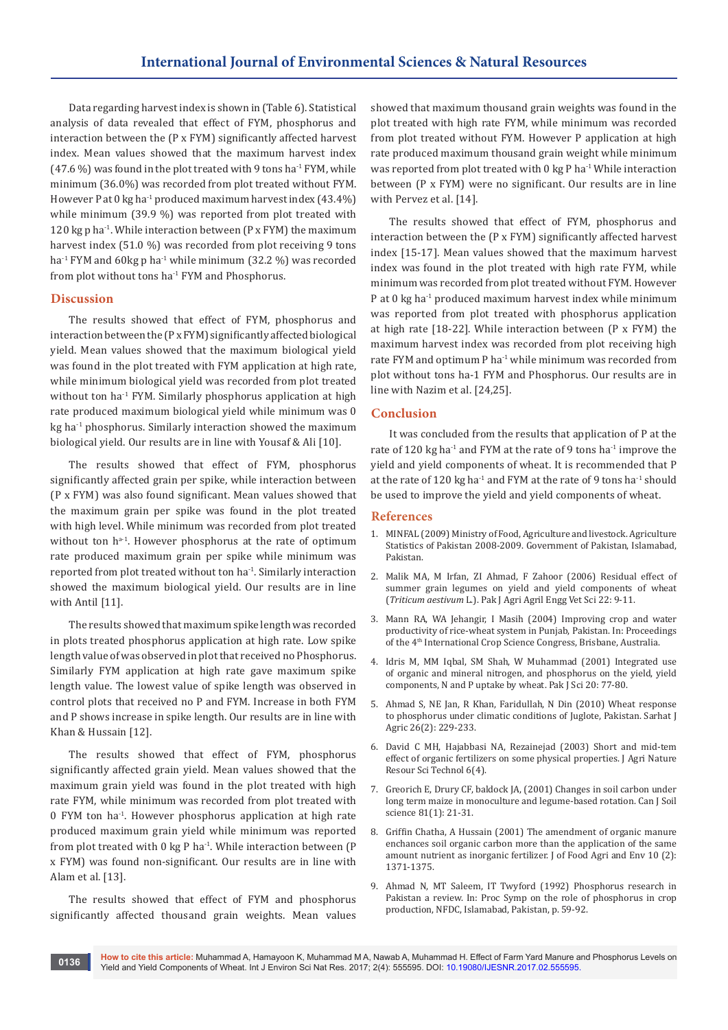Data regarding harvest index is shown in (Table 6). Statistical analysis of data revealed that effect of FYM, phosphorus and interaction between the (P x FYM) significantly affected harvest index. Mean values showed that the maximum harvest index  $(47.6\%)$  was found in the plot treated with 9 tons ha<sup>-1</sup> FYM, while minimum (36.0%) was recorded from plot treated without FYM. However P at 0 kg ha<sup>-1</sup> produced maximum harvest index  $(43.4\%)$ while minimum (39.9 %) was reported from plot treated with 120 kg p ha<sup>-1</sup>. While interaction between (P x FYM) the maximum harvest index (51.0 %) was recorded from plot receiving 9 tons ha<sup>-1</sup> FYM and 60kg p ha<sup>-1</sup> while minimum (32.2 %) was recorded from plot without tons ha-1 FYM and Phosphorus.

# **Discussion**

The results showed that effect of FYM, phosphorus and interaction between the (P x FYM) significantly affected biological yield. Mean values showed that the maximum biological yield was found in the plot treated with FYM application at high rate, while minimum biological yield was recorded from plot treated without ton ha<sup>-1</sup> FYM. Similarly phosphorus application at high rate produced maximum biological yield while minimum was 0 kg ha<sup>-1</sup> phosphorus. Similarly interaction showed the maximum biological yield. Our results are in line with Yousaf & Ali [10].

The results showed that effect of FYM, phosphorus significantly affected grain per spike, while interaction between (P x FYM) was also found significant. Mean values showed that the maximum grain per spike was found in the plot treated with high level. While minimum was recorded from plot treated without ton  $h^{a-1}$ . However phosphorus at the rate of optimum rate produced maximum grain per spike while minimum was reported from plot treated without ton ha-1. Similarly interaction showed the maximum biological yield. Our results are in line with Antil [11].

The results showed that maximum spike length was recorded in plots treated phosphorus application at high rate. Low spike length value of was observed in plot that received no Phosphorus. Similarly FYM application at high rate gave maximum spike length value. The lowest value of spike length was observed in control plots that received no P and FYM. Increase in both FYM and P shows increase in spike length. Our results are in line with Khan & Hussain [12].

The results showed that effect of FYM, phosphorus significantly affected grain yield. Mean values showed that the maximum grain yield was found in the plot treated with high rate FYM, while minimum was recorded from plot treated with 0 FYM ton ha-1. However phosphorus application at high rate produced maximum grain yield while minimum was reported from plot treated with  $0 \text{ kg } P$  ha<sup>-1</sup>. While interaction between (P x FYM) was found non-significant. Our results are in line with Alam et al. [13].

The results showed that effect of FYM and phosphorus significantly affected thousand grain weights. Mean values

showed that maximum thousand grain weights was found in the plot treated with high rate FYM, while minimum was recorded from plot treated without FYM. However P application at high rate produced maximum thousand grain weight while minimum was reported from plot treated with  $0 \text{ kg } P$  ha<sup>-1</sup> While interaction between (P x FYM) were no significant. Our results are in line with Pervez et al. [14].

The results showed that effect of FYM, phosphorus and interaction between the (P x FYM) significantly affected harvest index [15-17]. Mean values showed that the maximum harvest index was found in the plot treated with high rate FYM, while minimum was recorded from plot treated without FYM. However P at 0 kg ha<sup>-1</sup> produced maximum harvest index while minimum was reported from plot treated with phosphorus application at high rate [18-22]. While interaction between (P x FYM) the maximum harvest index was recorded from plot receiving high rate FYM and optimum P ha<sup>-1</sup> while minimum was recorded from plot without tons ha-1 FYM and Phosphorus. Our results are in line with Nazim et al. [24,25].

#### **Conclusion**

It was concluded from the results that application of P at the rate of 120 kg ha<sup>-1</sup> and FYM at the rate of 9 tons ha<sup>-1</sup> improve the yield and yield components of wheat. It is recommended that P at the rate of 120 kg ha<sup>-1</sup> and FYM at the rate of 9 tons ha<sup>-1</sup> should be used to improve the yield and yield components of wheat.

#### **References**

- 1. [MINFAL \(2009\) Ministry of Food, Agriculture and livestock. Agriculture](http://www.scirp.org/(S(lz5mqp453edsnp55rrgjct55))/reference/ReferencesPapers.aspx?ReferenceID=1484085)  [Statistics of Pakistan 2008-2009. Government of Pakistan, Islamabad,](http://www.scirp.org/(S(lz5mqp453edsnp55rrgjct55))/reference/ReferencesPapers.aspx?ReferenceID=1484085)  [Pakistan.](http://www.scirp.org/(S(lz5mqp453edsnp55rrgjct55))/reference/ReferencesPapers.aspx?ReferenceID=1484085)
- 2. [Malik MA, M Irfan, ZI Ahmad, F Zahoor \(2006\) Residual effect of](http://agris.fao.org/agris-search/search.do?recordID=PK2008000076)  [summer grain legumes on yield and yield components of wheat](http://agris.fao.org/agris-search/search.do?recordID=PK2008000076)  (*Triticum aestivum* [L.\). Pak J Agri Agril Engg Vet Sci 22: 9-11.](http://agris.fao.org/agris-search/search.do?recordID=PK2008000076)
- 3. [Mann RA, WA Jehangir, I Masih \(2004\) Improving crop and water](https://cgspace.cgiar.org/handle/10568/38547)  [productivity of rice-wheat system in Punjab, Pakistan. In: Proceedings](https://cgspace.cgiar.org/handle/10568/38547)  [of the 4th International Crop Science Congress, Brisbane, Australia.](https://cgspace.cgiar.org/handle/10568/38547)
- 4. [Idris M, MM Iqbal, SM Shah, W Muhammad \(2001\) Integrated use](http://agris.fao.org/agris-search/search.do?recordID=PK2006000593)  [of organic and mineral nitrogen, and phosphorus on the yield, yield](http://agris.fao.org/agris-search/search.do?recordID=PK2006000593)  [components, N and P uptake by wheat. Pak J Sci 20: 77-80.](http://agris.fao.org/agris-search/search.do?recordID=PK2006000593)
- 5. [Ahmad S, NE Jan, R Khan, Faridullah, N Din \(2010\) Wheat response](https://www.aup.edu.pk/sj_pdf/WHEAT%20RESPONSE%20TO%20PHOSPHORUS%20UNDER%20CLIMATIC.pdf)  [to phosphorus under climatic conditions of Juglote, Pakistan. Sarhat J](https://www.aup.edu.pk/sj_pdf/WHEAT%20RESPONSE%20TO%20PHOSPHORUS%20UNDER%20CLIMATIC.pdf)  [Agric 26\(2\): 229-233.](https://www.aup.edu.pk/sj_pdf/WHEAT%20RESPONSE%20TO%20PHOSPHORUS%20UNDER%20CLIMATIC.pdf)
- 6. David C MH, Hajabbasi NA, Rezainejad (2003) Short and mid-tem effect of organic fertilizers on some physical properties. J Agri Nature Resour Sci Technol 6(4).
- 7. Greorich E, Drury CF, baldock JA, (2001) Changes in soil carbon under long term maize in monoculture and legume-based rotation. Can J Soil science 81(1): 21-31.
- 8. Griffin Chatha, A Hussain (2001) The amendment of organic manure enchances soil organic carbon more than the application of the same amount nutrient as inorganic fertilizer. J of Food Agri and Env 10 (2): 1371-1375.
- 9. Ahmad N, MT Saleem, IT Twyford (1992) Phosphorus research in Pakistan a review. In: Proc Symp on the role of phosphorus in crop production, NFDC, Islamabad, Pakistan, p. 59-92.